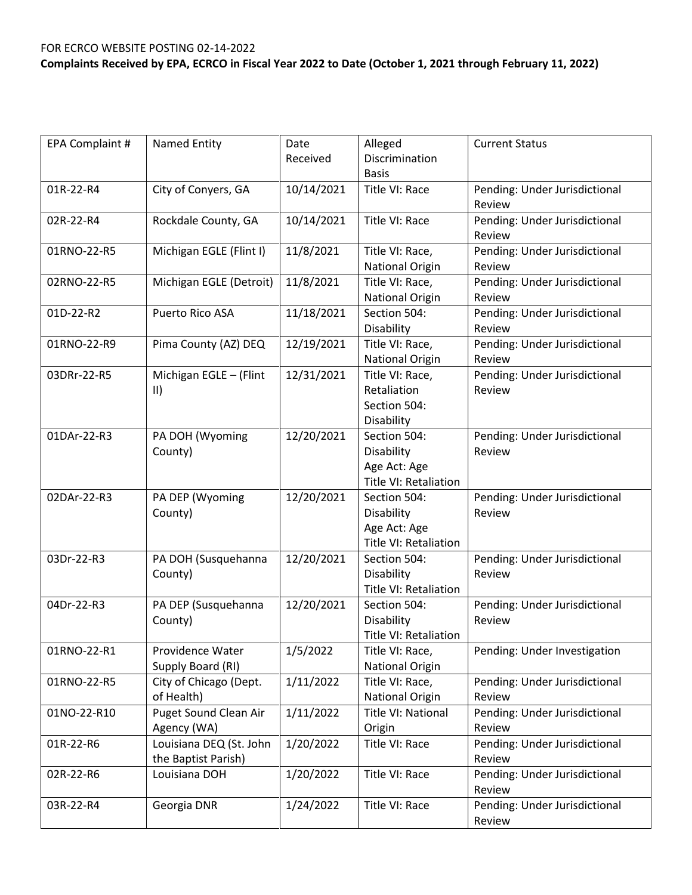| EPA Complaint # | Named Entity                                   | Date<br>Received | Alleged<br>Discrimination                                                  | <b>Current Status</b>                   |
|-----------------|------------------------------------------------|------------------|----------------------------------------------------------------------------|-----------------------------------------|
|                 |                                                |                  | <b>Basis</b>                                                               |                                         |
| 01R-22-R4       | City of Conyers, GA                            | 10/14/2021       | Title VI: Race                                                             | Pending: Under Jurisdictional<br>Review |
| 02R-22-R4       | Rockdale County, GA                            | 10/14/2021       | Title VI: Race                                                             | Pending: Under Jurisdictional<br>Review |
| 01RNO-22-R5     | Michigan EGLE (Flint I)                        | 11/8/2021        | Title VI: Race,<br><b>National Origin</b>                                  | Pending: Under Jurisdictional<br>Review |
| 02RNO-22-R5     | Michigan EGLE (Detroit)                        | 11/8/2021        | Title VI: Race,<br>National Origin                                         | Pending: Under Jurisdictional<br>Review |
| 01D-22-R2       | Puerto Rico ASA                                | 11/18/2021       | Section 504:<br>Disability                                                 | Pending: Under Jurisdictional<br>Review |
| 01RNO-22-R9     | Pima County (AZ) DEQ                           | 12/19/2021       | Title VI: Race,<br>National Origin                                         | Pending: Under Jurisdictional<br>Review |
| 03DRr-22-R5     | Michigan EGLE - (Flint<br>$\vert \vert$        | 12/31/2021       | Title VI: Race,<br>Retaliation<br>Section 504:<br>Disability               | Pending: Under Jurisdictional<br>Review |
| 01DAr-22-R3     | PA DOH (Wyoming<br>County)                     | 12/20/2021       | Section 504:<br>Disability<br>Age Act: Age<br><b>Title VI: Retaliation</b> | Pending: Under Jurisdictional<br>Review |
| 02DAr-22-R3     | PA DEP (Wyoming<br>County)                     | 12/20/2021       | Section 504:<br>Disability<br>Age Act: Age<br>Title VI: Retaliation        | Pending: Under Jurisdictional<br>Review |
| 03Dr-22-R3      | PA DOH (Susquehanna<br>County)                 | 12/20/2021       | Section 504:<br>Disability<br>Title VI: Retaliation                        | Pending: Under Jurisdictional<br>Review |
| 04Dr-22-R3      | PA DEP (Susquehanna<br>County)                 | 12/20/2021       | Section 504:<br>Disability<br>Title VI: Retaliation                        | Pending: Under Jurisdictional<br>Review |
| 01RNO-22-R1     | Providence Water<br>Supply Board (RI)          | 1/5/2022         | Title VI: Race,<br>National Origin                                         | Pending: Under Investigation            |
| 01RNO-22-R5     | City of Chicago (Dept.<br>of Health)           | 1/11/2022        | Title VI: Race,<br>National Origin                                         | Pending: Under Jurisdictional<br>Review |
| 01NO-22-R10     | Puget Sound Clean Air<br>Agency (WA)           | 1/11/2022        | Title VI: National<br>Origin                                               | Pending: Under Jurisdictional<br>Review |
| 01R-22-R6       | Louisiana DEQ (St. John<br>the Baptist Parish) | 1/20/2022        | Title VI: Race                                                             | Pending: Under Jurisdictional<br>Review |
| 02R-22-R6       | Louisiana DOH                                  | 1/20/2022        | Title VI: Race                                                             | Pending: Under Jurisdictional<br>Review |
| 03R-22-R4       | Georgia DNR                                    | 1/24/2022        | Title VI: Race                                                             | Pending: Under Jurisdictional<br>Review |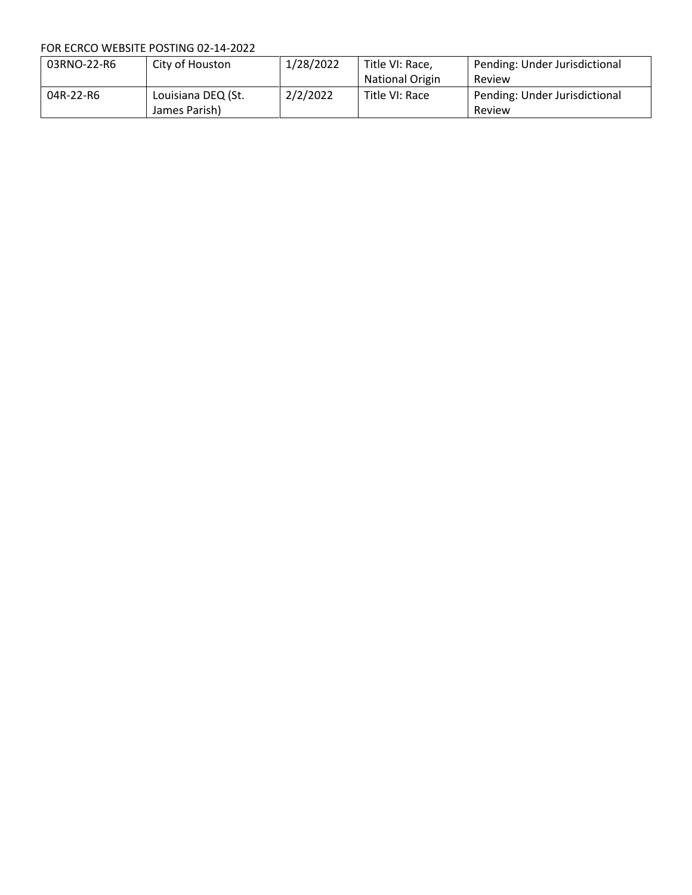| 03RNO-22-R6 | City of Houston    | 1/28/2022 | Title VI: Race, | Pending: Under Jurisdictional |
|-------------|--------------------|-----------|-----------------|-------------------------------|
|             |                    |           | National Origin | Review                        |
| 04R-22-R6   | Louisiana DEQ (St. | 2/2/2022  | Title VI: Race  | Pending: Under Jurisdictional |
|             | James Parish)      |           |                 | Review                        |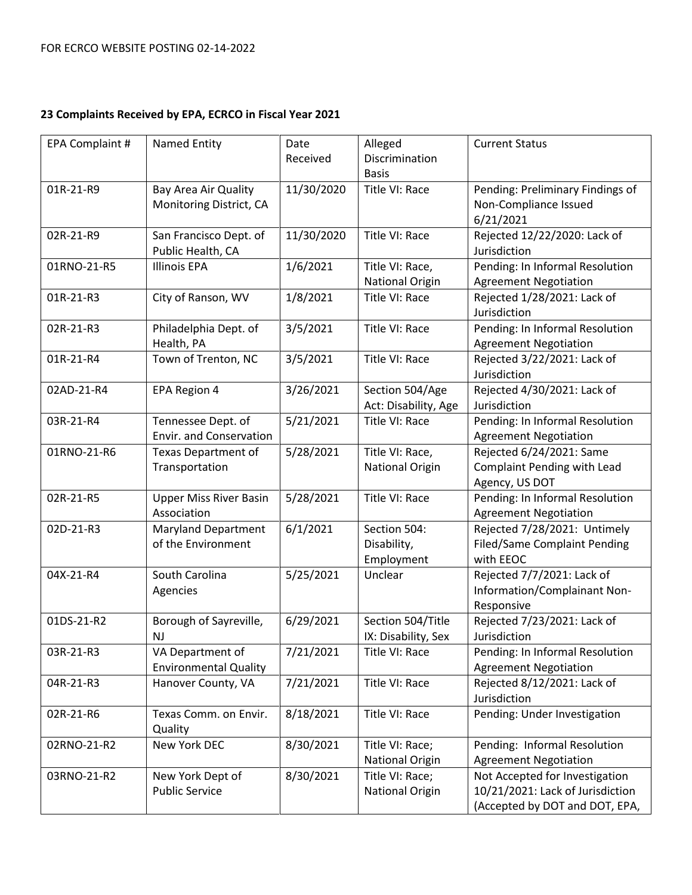| EPA Complaint # | Named Entity                                     | Date<br>Received | Alleged<br>Discrimination<br><b>Basis</b> | <b>Current Status</b>                                                                                |
|-----------------|--------------------------------------------------|------------------|-------------------------------------------|------------------------------------------------------------------------------------------------------|
| 01R-21-R9       | Bay Area Air Quality<br>Monitoring District, CA  | 11/30/2020       | Title VI: Race                            | Pending: Preliminary Findings of<br>Non-Compliance Issued<br>6/21/2021                               |
| 02R-21-R9       | San Francisco Dept. of<br>Public Health, CA      | 11/30/2020       | Title VI: Race                            | Rejected 12/22/2020: Lack of<br>Jurisdiction                                                         |
| 01RNO-21-R5     | <b>Illinois EPA</b>                              | 1/6/2021         | Title VI: Race,<br><b>National Origin</b> | Pending: In Informal Resolution<br><b>Agreement Negotiation</b>                                      |
| 01R-21-R3       | City of Ranson, WV                               | 1/8/2021         | Title VI: Race                            | Rejected 1/28/2021: Lack of<br>Jurisdiction                                                          |
| 02R-21-R3       | Philadelphia Dept. of<br>Health, PA              | 3/5/2021         | Title VI: Race                            | Pending: In Informal Resolution<br><b>Agreement Negotiation</b>                                      |
| 01R-21-R4       | Town of Trenton, NC                              | 3/5/2021         | Title VI: Race                            | Rejected 3/22/2021: Lack of<br>Jurisdiction                                                          |
| 02AD-21-R4      | EPA Region 4                                     | 3/26/2021        | Section 504/Age<br>Act: Disability, Age   | Rejected 4/30/2021: Lack of<br>Jurisdiction                                                          |
| 03R-21-R4       | Tennessee Dept. of<br>Envir. and Conservation    | 5/21/2021        | Title VI: Race                            | Pending: In Informal Resolution<br><b>Agreement Negotiation</b>                                      |
| 01RNO-21-R6     | <b>Texas Department of</b><br>Transportation     | 5/28/2021        | Title VI: Race,<br>National Origin        | Rejected 6/24/2021: Same<br><b>Complaint Pending with Lead</b><br>Agency, US DOT                     |
| 02R-21-R5       | <b>Upper Miss River Basin</b><br>Association     | 5/28/2021        | Title VI: Race                            | Pending: In Informal Resolution<br><b>Agreement Negotiation</b>                                      |
| 02D-21-R3       | <b>Maryland Department</b><br>of the Environment | 6/1/2021         | Section 504:<br>Disability,<br>Employment | Rejected 7/28/2021: Untimely<br><b>Filed/Same Complaint Pending</b><br>with EEOC                     |
| 04X-21-R4       | South Carolina<br>Agencies                       | 5/25/2021        | Unclear                                   | Rejected 7/7/2021: Lack of<br>Information/Complainant Non-<br>Responsive                             |
| 01DS-21-R2      | Borough of Sayreville,<br><b>NJ</b>              | 6/29/2021        | Section 504/Title<br>IX: Disability, Sex  | Rejected 7/23/2021: Lack of<br>Jurisdiction                                                          |
| 03R-21-R3       | VA Department of<br><b>Environmental Quality</b> | 7/21/2021        | Title VI: Race                            | Pending: In Informal Resolution<br><b>Agreement Negotiation</b>                                      |
| 04R-21-R3       | Hanover County, VA                               | 7/21/2021        | Title VI: Race                            | Rejected 8/12/2021: Lack of<br>Jurisdiction                                                          |
| 02R-21-R6       | Texas Comm. on Envir.<br>Quality                 | 8/18/2021        | Title VI: Race                            | Pending: Under Investigation                                                                         |
| 02RNO-21-R2     | New York DEC                                     | 8/30/2021        | Title VI: Race;<br><b>National Origin</b> | Pending: Informal Resolution<br><b>Agreement Negotiation</b>                                         |
| 03RNO-21-R2     | New York Dept of<br><b>Public Service</b>        | 8/30/2021        | Title VI: Race;<br><b>National Origin</b> | Not Accepted for Investigation<br>10/21/2021: Lack of Jurisdiction<br>(Accepted by DOT and DOT, EPA, |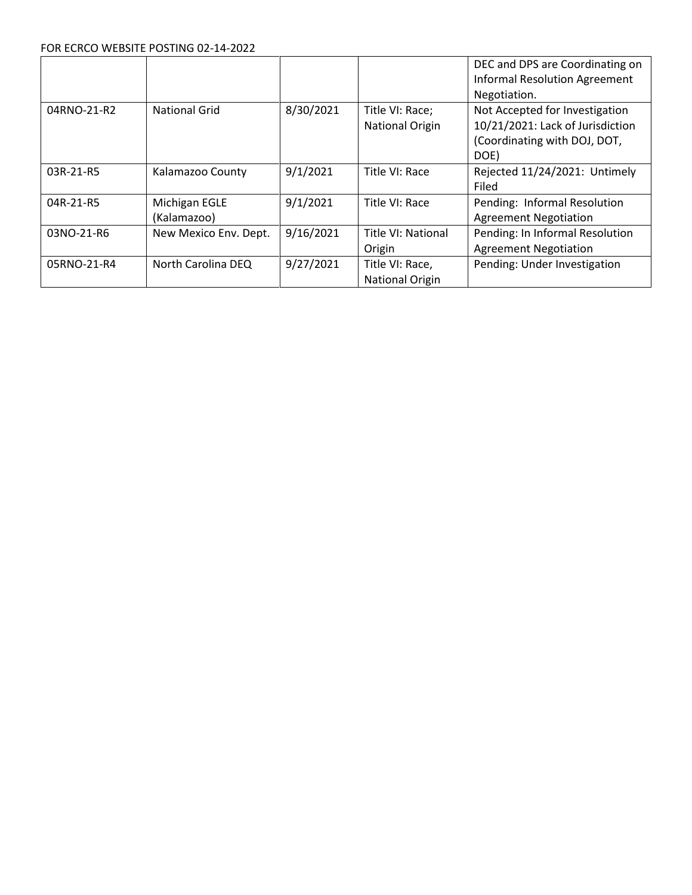|             |                       |           |                        | DEC and DPS are Coordinating on      |
|-------------|-----------------------|-----------|------------------------|--------------------------------------|
|             |                       |           |                        | <b>Informal Resolution Agreement</b> |
|             |                       |           |                        | Negotiation.                         |
| 04RNO-21-R2 | <b>National Grid</b>  | 8/30/2021 | Title VI: Race;        | Not Accepted for Investigation       |
|             |                       |           | <b>National Origin</b> | 10/21/2021: Lack of Jurisdiction     |
|             |                       |           |                        | (Coordinating with DOJ, DOT,         |
|             |                       |           |                        | DOE)                                 |
| 03R-21-R5   | Kalamazoo County      | 9/1/2021  | Title VI: Race         | Rejected 11/24/2021: Untimely        |
|             |                       |           |                        | Filed                                |
| 04R-21-R5   | Michigan EGLE         | 9/1/2021  | Title VI: Race         | Pending: Informal Resolution         |
|             | (Kalamazoo)           |           |                        | <b>Agreement Negotiation</b>         |
| 03NO-21-R6  | New Mexico Env. Dept. | 9/16/2021 | Title VI: National     | Pending: In Informal Resolution      |
|             |                       |           | Origin                 | <b>Agreement Negotiation</b>         |
| 05RNO-21-R4 | North Carolina DEQ    | 9/27/2021 | Title VI: Race,        | Pending: Under Investigation         |
|             |                       |           | National Origin        |                                      |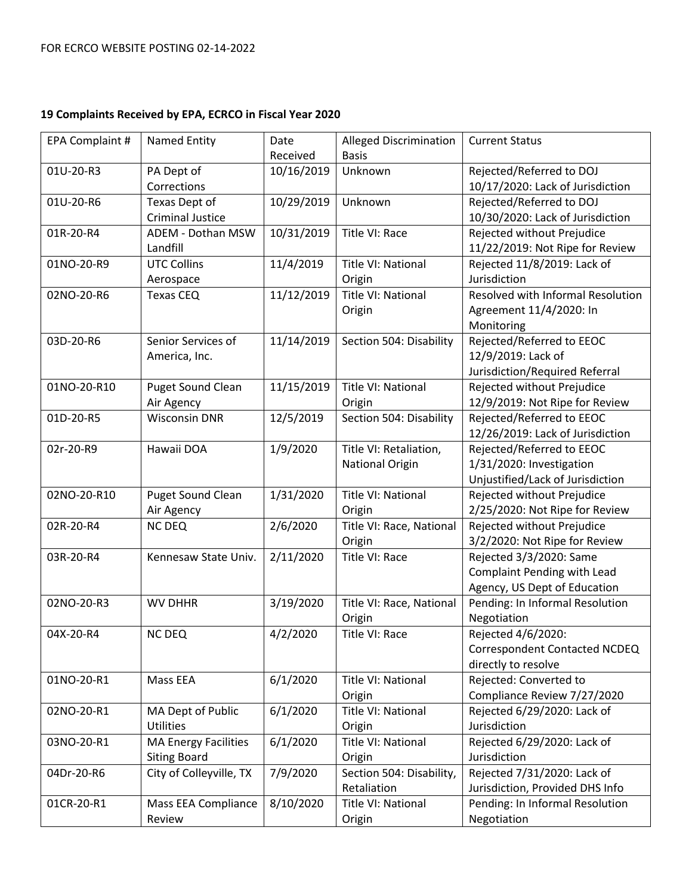| EPA Complaint # | <b>Named Entity</b>                                | Date<br>Received | <b>Alleged Discrimination</b><br><b>Basis</b>    | <b>Current Status</b>                                                                     |
|-----------------|----------------------------------------------------|------------------|--------------------------------------------------|-------------------------------------------------------------------------------------------|
| 01U-20-R3       | PA Dept of<br>Corrections                          | 10/16/2019       | Unknown                                          | Rejected/Referred to DOJ<br>10/17/2020: Lack of Jurisdiction                              |
| 01U-20-R6       | Texas Dept of<br><b>Criminal Justice</b>           | 10/29/2019       | Unknown                                          | Rejected/Referred to DOJ<br>10/30/2020: Lack of Jurisdiction                              |
| 01R-20-R4       | ADEM - Dothan MSW<br>Landfill                      | 10/31/2019       | Title VI: Race                                   | Rejected without Prejudice<br>11/22/2019: Not Ripe for Review                             |
| 01NO-20-R9      | <b>UTC Collins</b><br>Aerospace                    | 11/4/2019        | Title VI: National<br>Origin                     | Rejected 11/8/2019: Lack of<br>Jurisdiction                                               |
| 02NO-20-R6      | Texas CEQ                                          | 11/12/2019       | Title VI: National<br>Origin                     | Resolved with Informal Resolution<br>Agreement 11/4/2020: In<br>Monitoring                |
| 03D-20-R6       | Senior Services of<br>America, Inc.                | 11/14/2019       | Section 504: Disability                          | Rejected/Referred to EEOC<br>12/9/2019: Lack of<br>Jurisdiction/Required Referral         |
| 01NO-20-R10     | <b>Puget Sound Clean</b><br>Air Agency             | 11/15/2019       | Title VI: National<br>Origin                     | Rejected without Prejudice<br>12/9/2019: Not Ripe for Review                              |
| 01D-20-R5       | <b>Wisconsin DNR</b>                               | 12/5/2019        | Section 504: Disability                          | Rejected/Referred to EEOC<br>12/26/2019: Lack of Jurisdiction                             |
| 02r-20-R9       | Hawaii DOA                                         | 1/9/2020         | Title VI: Retaliation,<br><b>National Origin</b> | Rejected/Referred to EEOC<br>1/31/2020: Investigation<br>Unjustified/Lack of Jurisdiction |
| 02NO-20-R10     | Puget Sound Clean<br>Air Agency                    | 1/31/2020        | Title VI: National<br>Origin                     | Rejected without Prejudice<br>2/25/2020: Not Ripe for Review                              |
| 02R-20-R4       | <b>NC DEQ</b>                                      | 2/6/2020         | Title VI: Race, National<br>Origin               | Rejected without Prejudice<br>3/2/2020: Not Ripe for Review                               |
| 03R-20-R4       | Kennesaw State Univ.                               | 2/11/2020        | Title VI: Race                                   | Rejected 3/3/2020: Same<br>Complaint Pending with Lead<br>Agency, US Dept of Education    |
| 02NO-20-R3      | <b>WV DHHR</b>                                     | 3/19/2020        | Title VI: Race, National<br>Origin               | Pending: In Informal Resolution<br>Negotiation                                            |
| 04X-20-R4       | <b>NC DEQ</b>                                      | 4/2/2020         | Title VI: Race                                   | Rejected 4/6/2020:<br>Correspondent Contacted NCDEQ<br>directly to resolve                |
| 01NO-20-R1      | Mass EEA                                           | 6/1/2020         | Title VI: National<br>Origin                     | Rejected: Converted to<br>Compliance Review 7/27/2020                                     |
| 02NO-20-R1      | MA Dept of Public<br><b>Utilities</b>              | 6/1/2020         | Title VI: National<br>Origin                     | Rejected 6/29/2020: Lack of<br>Jurisdiction                                               |
| 03NO-20-R1      | <b>MA Energy Facilities</b><br><b>Siting Board</b> | 6/1/2020         | Title VI: National<br>Origin                     | Rejected 6/29/2020: Lack of<br>Jurisdiction                                               |
| 04Dr-20-R6      | City of Colleyville, TX                            | 7/9/2020         | Section 504: Disability,<br>Retaliation          | Rejected 7/31/2020: Lack of<br>Jurisdiction, Provided DHS Info                            |
| 01CR-20-R1      | Mass EEA Compliance<br>Review                      | 8/10/2020        | Title VI: National<br>Origin                     | Pending: In Informal Resolution<br>Negotiation                                            |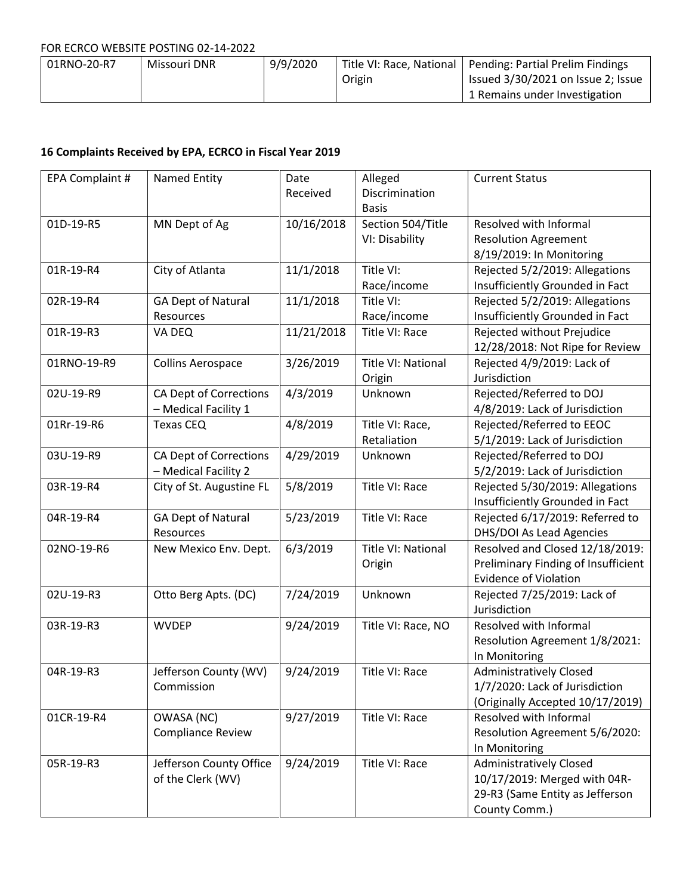| 01RNO-20-R7 | Missouri DNR | 9/9/2020 |        | Title VI: Race, National   Pending: Partial Prelim Findings |
|-------------|--------------|----------|--------|-------------------------------------------------------------|
|             |              |          | Origin | Issued 3/30/2021 on Issue 2; Issue                          |
|             |              |          |        | 1 Remains under Investigation                               |

| EPA Complaint # | Named Entity                                          | Date<br>Received | Alleged<br>Discrimination<br><b>Basis</b> | <b>Current Status</b>                                                                                              |
|-----------------|-------------------------------------------------------|------------------|-------------------------------------------|--------------------------------------------------------------------------------------------------------------------|
| 01D-19-R5       | MN Dept of Ag                                         | 10/16/2018       | Section 504/Title<br>VI: Disability       | Resolved with Informal<br><b>Resolution Agreement</b><br>8/19/2019: In Monitoring                                  |
| 01R-19-R4       | City of Atlanta                                       | 11/1/2018        | Title VI:<br>Race/income                  | Rejected 5/2/2019: Allegations<br>Insufficiently Grounded in Fact                                                  |
| 02R-19-R4       | <b>GA Dept of Natural</b><br>Resources                | 11/1/2018        | Title VI:<br>Race/income                  | Rejected 5/2/2019: Allegations<br>Insufficiently Grounded in Fact                                                  |
| 01R-19-R3       | VA DEQ                                                | 11/21/2018       | Title VI: Race                            | Rejected without Prejudice<br>12/28/2018: Not Ripe for Review                                                      |
| 01RNO-19-R9     | <b>Collins Aerospace</b>                              | 3/26/2019        | Title VI: National<br>Origin              | Rejected 4/9/2019: Lack of<br>Jurisdiction                                                                         |
| 02U-19-R9       | CA Dept of Corrections<br>- Medical Facility 1        | 4/3/2019         | Unknown                                   | Rejected/Referred to DOJ<br>4/8/2019: Lack of Jurisdiction                                                         |
| 01Rr-19-R6      | <b>Texas CEQ</b>                                      | 4/8/2019         | Title VI: Race,<br>Retaliation            | Rejected/Referred to EEOC<br>5/1/2019: Lack of Jurisdiction                                                        |
| 03U-19-R9       | <b>CA Dept of Corrections</b><br>- Medical Facility 2 | 4/29/2019        | Unknown                                   | Rejected/Referred to DOJ<br>5/2/2019: Lack of Jurisdiction                                                         |
| 03R-19-R4       | City of St. Augustine FL                              | 5/8/2019         | Title VI: Race                            | Rejected 5/30/2019: Allegations<br>Insufficiently Grounded in Fact                                                 |
| 04R-19-R4       | <b>GA Dept of Natural</b><br>Resources                | 5/23/2019        | Title VI: Race                            | Rejected 6/17/2019: Referred to<br>DHS/DOI As Lead Agencies                                                        |
| 02NO-19-R6      | New Mexico Env. Dept.                                 | 6/3/2019         | Title VI: National<br>Origin              | Resolved and Closed 12/18/2019:<br>Preliminary Finding of Insufficient<br><b>Evidence of Violation</b>             |
| 02U-19-R3       | Otto Berg Apts. (DC)                                  | 7/24/2019        | Unknown                                   | Rejected 7/25/2019: Lack of<br>Jurisdiction                                                                        |
| 03R-19-R3       | <b>WVDEP</b>                                          | 9/24/2019        | Title VI: Race, NO                        | Resolved with Informal<br>Resolution Agreement 1/8/2021:<br>In Monitoring                                          |
| 04R-19-R3       | Jefferson County (WV)<br>Commission                   | 9/24/2019        | Title VI: Race                            | <b>Administratively Closed</b><br>1/7/2020: Lack of Jurisdiction<br>(Originally Accepted 10/17/2019)               |
| 01CR-19-R4      | OWASA (NC)<br><b>Compliance Review</b>                | 9/27/2019        | Title VI: Race                            | Resolved with Informal<br>Resolution Agreement 5/6/2020:<br>In Monitoring                                          |
| 05R-19-R3       | Jefferson County Office<br>of the Clerk (WV)          | 9/24/2019        | Title VI: Race                            | <b>Administratively Closed</b><br>10/17/2019: Merged with 04R-<br>29-R3 (Same Entity as Jefferson<br>County Comm.) |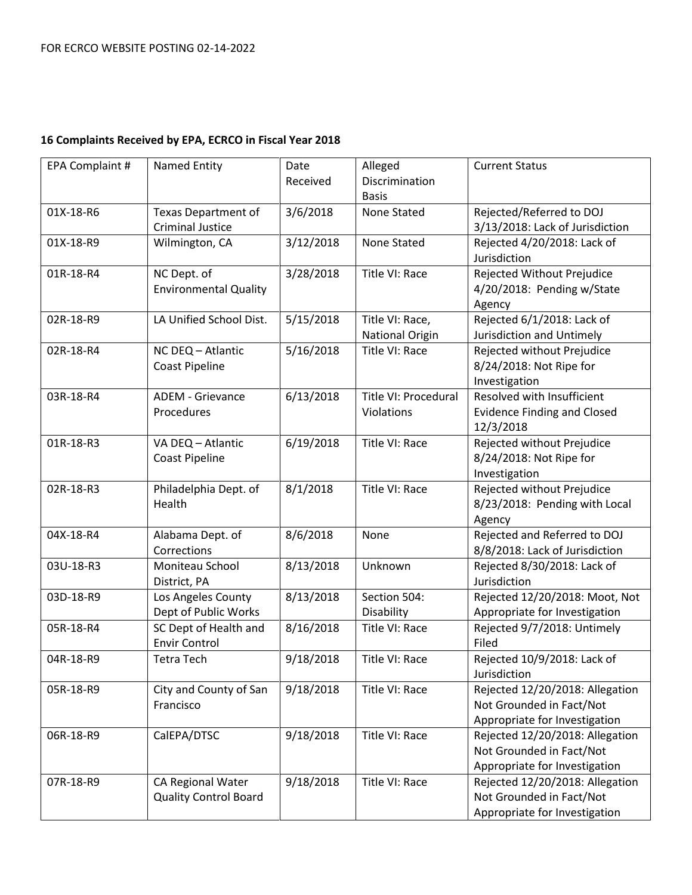| EPA Complaint # | Named Entity                 | Date      | Alleged                | <b>Current Status</b>              |
|-----------------|------------------------------|-----------|------------------------|------------------------------------|
|                 |                              | Received  | Discrimination         |                                    |
|                 |                              |           | <b>Basis</b>           |                                    |
| 01X-18-R6       | <b>Texas Department of</b>   | 3/6/2018  | None Stated            | Rejected/Referred to DOJ           |
|                 | <b>Criminal Justice</b>      |           |                        | 3/13/2018: Lack of Jurisdiction    |
| 01X-18-R9       | Wilmington, CA               | 3/12/2018 | <b>None Stated</b>     | Rejected 4/20/2018: Lack of        |
|                 |                              |           |                        | Jurisdiction                       |
| 01R-18-R4       | NC Dept. of                  | 3/28/2018 | Title VI: Race         | Rejected Without Prejudice         |
|                 | <b>Environmental Quality</b> |           |                        | 4/20/2018: Pending w/State         |
|                 |                              |           |                        | Agency                             |
| 02R-18-R9       | LA Unified School Dist.      | 5/15/2018 | Title VI: Race,        | Rejected 6/1/2018: Lack of         |
|                 |                              |           | <b>National Origin</b> | Jurisdiction and Untimely          |
| 02R-18-R4       | NC DEQ - Atlantic            | 5/16/2018 | Title VI: Race         | Rejected without Prejudice         |
|                 | <b>Coast Pipeline</b>        |           |                        | 8/24/2018: Not Ripe for            |
|                 |                              |           |                        | Investigation                      |
| 03R-18-R4       | <b>ADEM - Grievance</b>      | 6/13/2018 | Title VI: Procedural   | Resolved with Insufficient         |
|                 | Procedures                   |           | Violations             | <b>Evidence Finding and Closed</b> |
|                 |                              |           |                        | 12/3/2018                          |
| 01R-18-R3       | VA DEQ - Atlantic            | 6/19/2018 | Title VI: Race         | Rejected without Prejudice         |
|                 | <b>Coast Pipeline</b>        |           |                        | 8/24/2018: Not Ripe for            |
|                 |                              |           |                        | Investigation                      |
| 02R-18-R3       | Philadelphia Dept. of        | 8/1/2018  | Title VI: Race         | Rejected without Prejudice         |
|                 | Health                       |           |                        | 8/23/2018: Pending with Local      |
|                 |                              |           |                        | Agency                             |
| 04X-18-R4       | Alabama Dept. of             | 8/6/2018  | None                   | Rejected and Referred to DOJ       |
|                 | Corrections                  |           |                        | 8/8/2018: Lack of Jurisdiction     |
| 03U-18-R3       | Moniteau School              | 8/13/2018 | Unknown                | Rejected 8/30/2018: Lack of        |
|                 | District, PA                 |           |                        | Jurisdiction                       |
| 03D-18-R9       | Los Angeles County           | 8/13/2018 | Section 504:           | Rejected 12/20/2018: Moot, Not     |
|                 | Dept of Public Works         |           | Disability             | Appropriate for Investigation      |
| 05R-18-R4       | SC Dept of Health and        | 8/16/2018 | Title VI: Race         | Rejected 9/7/2018: Untimely        |
|                 | <b>Envir Control</b>         |           |                        | Filed                              |
| 04R-18-R9       | Tetra Tech                   | 9/18/2018 | Title VI: Race         | Rejected 10/9/2018: Lack of        |
|                 |                              |           |                        | Jurisdiction                       |
| 05R-18-R9       | City and County of San       | 9/18/2018 | Title VI: Race         | Rejected 12/20/2018: Allegation    |
|                 | Francisco                    |           |                        | Not Grounded in Fact/Not           |
|                 |                              |           |                        | Appropriate for Investigation      |
| 06R-18-R9       | CalEPA/DTSC                  | 9/18/2018 | Title VI: Race         | Rejected 12/20/2018: Allegation    |
|                 |                              |           |                        | Not Grounded in Fact/Not           |
|                 |                              |           |                        | Appropriate for Investigation      |
| 07R-18-R9       | CA Regional Water            | 9/18/2018 | Title VI: Race         | Rejected 12/20/2018: Allegation    |
|                 | <b>Quality Control Board</b> |           |                        | Not Grounded in Fact/Not           |
|                 |                              |           |                        | Appropriate for Investigation      |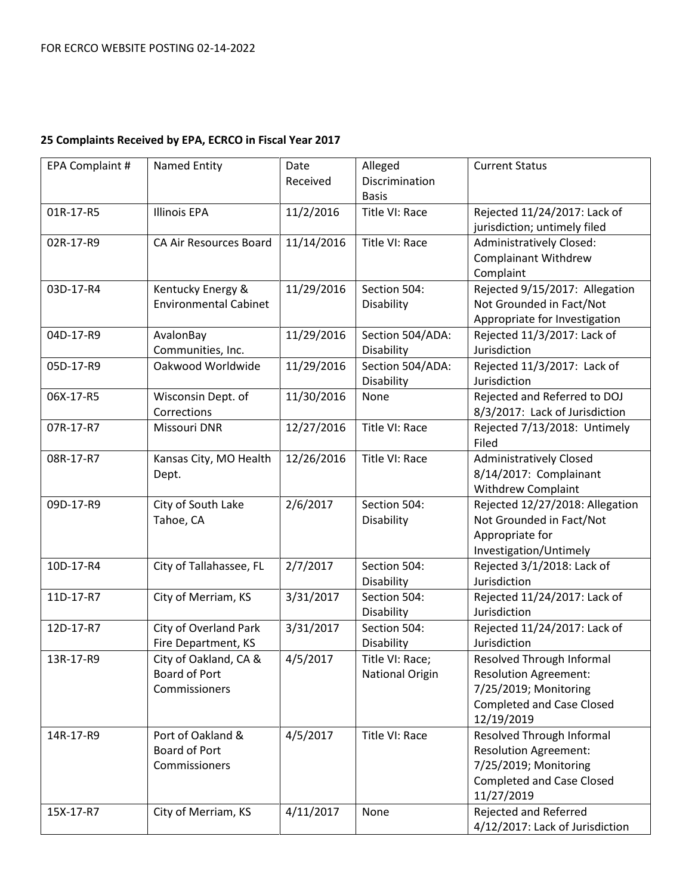| EPA Complaint # | <b>Named Entity</b>           | Date       | Alleged                | <b>Current Status</b>            |
|-----------------|-------------------------------|------------|------------------------|----------------------------------|
|                 |                               | Received   | Discrimination         |                                  |
|                 |                               |            | <b>Basis</b>           |                                  |
| 01R-17-R5       | <b>Illinois EPA</b>           | 11/2/2016  | Title VI: Race         | Rejected 11/24/2017: Lack of     |
|                 |                               |            |                        | jurisdiction; untimely filed     |
| 02R-17-R9       | <b>CA Air Resources Board</b> | 11/14/2016 | Title VI: Race         | <b>Administratively Closed:</b>  |
|                 |                               |            |                        | <b>Complainant Withdrew</b>      |
|                 |                               |            |                        | Complaint                        |
| 03D-17-R4       | Kentucky Energy &             | 11/29/2016 | Section 504:           | Rejected 9/15/2017: Allegation   |
|                 | <b>Environmental Cabinet</b>  |            | Disability             | Not Grounded in Fact/Not         |
|                 |                               |            |                        | Appropriate for Investigation    |
| 04D-17-R9       | AvalonBay                     | 11/29/2016 | Section 504/ADA:       | Rejected 11/3/2017: Lack of      |
|                 | Communities, Inc.             |            | Disability             | Jurisdiction                     |
| 05D-17-R9       | Oakwood Worldwide             | 11/29/2016 | Section 504/ADA:       | Rejected 11/3/2017: Lack of      |
|                 |                               |            | Disability             | Jurisdiction                     |
| 06X-17-R5       | Wisconsin Dept. of            | 11/30/2016 | None                   | Rejected and Referred to DOJ     |
|                 | Corrections                   |            |                        | 8/3/2017: Lack of Jurisdiction   |
| 07R-17-R7       | Missouri DNR                  | 12/27/2016 | Title VI: Race         | Rejected 7/13/2018: Untimely     |
|                 |                               |            |                        | Filed                            |
| 08R-17-R7       | Kansas City, MO Health        | 12/26/2016 | Title VI: Race         | <b>Administratively Closed</b>   |
|                 | Dept.                         |            |                        | 8/14/2017: Complainant           |
|                 |                               |            |                        | <b>Withdrew Complaint</b>        |
| 09D-17-R9       | City of South Lake            | 2/6/2017   | Section 504:           | Rejected 12/27/2018: Allegation  |
|                 | Tahoe, CA                     |            | Disability             | Not Grounded in Fact/Not         |
|                 |                               |            |                        | Appropriate for                  |
|                 |                               |            |                        | Investigation/Untimely           |
| 10D-17-R4       | City of Tallahassee, FL       | 2/7/2017   | Section 504:           | Rejected 3/1/2018: Lack of       |
|                 |                               |            | Disability             | Jurisdiction                     |
| 11D-17-R7       | City of Merriam, KS           | 3/31/2017  | Section 504:           | Rejected 11/24/2017: Lack of     |
|                 |                               |            | Disability             | Jurisdiction                     |
| 12D-17-R7       | <b>City of Overland Park</b>  | 3/31/2017  | Section 504:           | Rejected 11/24/2017: Lack of     |
|                 | Fire Department, KS           |            | Disability             | Jurisdiction                     |
| 13R-17-R9       | City of Oakland, CA &         | 4/5/2017   | Title VI: Race;        | Resolved Through Informal        |
|                 | Board of Port                 |            | <b>National Origin</b> | <b>Resolution Agreement:</b>     |
|                 | Commissioners                 |            |                        | 7/25/2019; Monitoring            |
|                 |                               |            |                        | <b>Completed and Case Closed</b> |
|                 |                               |            |                        | 12/19/2019                       |
| 14R-17-R9       | Port of Oakland &             | 4/5/2017   | Title VI: Race         | Resolved Through Informal        |
|                 | Board of Port                 |            |                        | <b>Resolution Agreement:</b>     |
|                 | Commissioners                 |            |                        | 7/25/2019; Monitoring            |
|                 |                               |            |                        | <b>Completed and Case Closed</b> |
|                 |                               |            |                        | 11/27/2019                       |
| 15X-17-R7       | City of Merriam, KS           | 4/11/2017  | None                   | Rejected and Referred            |
|                 |                               |            |                        | 4/12/2017: Lack of Jurisdiction  |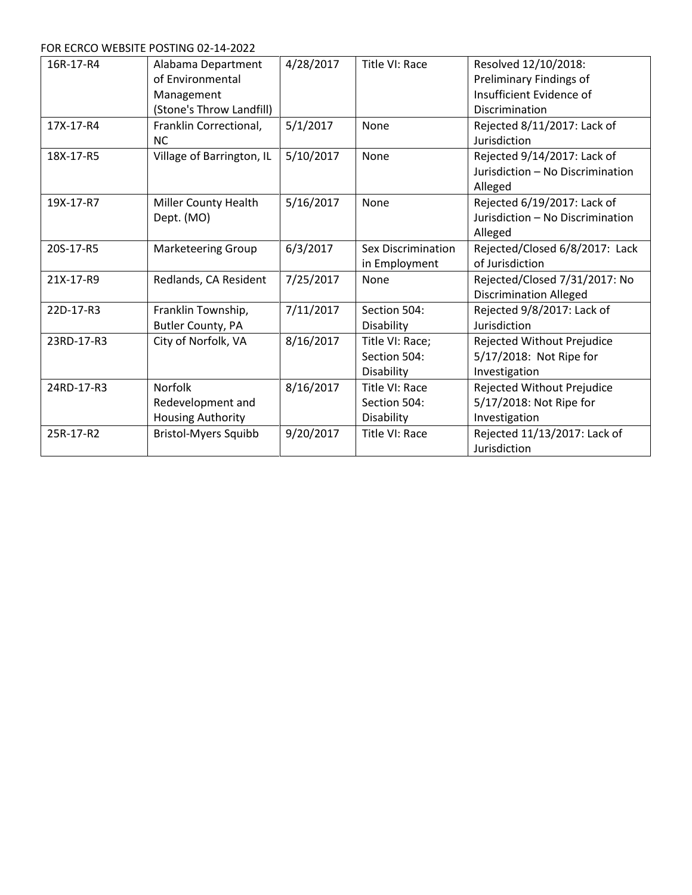FOR ECRCO WEBSITE POSTING 02-14-2022

| 16R-17-R4  | Alabama Department          | 4/28/2017 | Title VI: Race            | Resolved 12/10/2018:             |
|------------|-----------------------------|-----------|---------------------------|----------------------------------|
|            | of Environmental            |           |                           | Preliminary Findings of          |
|            | Management                  |           |                           | Insufficient Evidence of         |
|            | (Stone's Throw Landfill)    |           |                           | Discrimination                   |
| 17X-17-R4  | Franklin Correctional,      | 5/1/2017  | None                      | Rejected 8/11/2017: Lack of      |
|            | <b>NC</b>                   |           |                           | Jurisdiction                     |
| 18X-17-R5  | Village of Barrington, IL   | 5/10/2017 | None                      | Rejected 9/14/2017: Lack of      |
|            |                             |           |                           | Jurisdiction - No Discrimination |
|            |                             |           |                           | Alleged                          |
| 19X-17-R7  | Miller County Health        | 5/16/2017 | None                      | Rejected 6/19/2017: Lack of      |
|            | Dept. (MO)                  |           |                           | Jurisdiction - No Discrimination |
|            |                             |           |                           | Alleged                          |
| 20S-17-R5  | <b>Marketeering Group</b>   | 6/3/2017  | <b>Sex Discrimination</b> | Rejected/Closed 6/8/2017: Lack   |
|            |                             |           | in Employment             | of Jurisdiction                  |
| 21X-17-R9  | Redlands, CA Resident       | 7/25/2017 | None                      | Rejected/Closed 7/31/2017: No    |
|            |                             |           |                           | <b>Discrimination Alleged</b>    |
| 22D-17-R3  | Franklin Township,          | 7/11/2017 | Section 504:              | Rejected 9/8/2017: Lack of       |
|            | Butler County, PA           |           | Disability                | Jurisdiction                     |
| 23RD-17-R3 | City of Norfolk, VA         | 8/16/2017 | Title VI: Race;           | Rejected Without Prejudice       |
|            |                             |           | Section 504:              | 5/17/2018: Not Ripe for          |
|            |                             |           | Disability                | Investigation                    |
| 24RD-17-R3 | <b>Norfolk</b>              | 8/16/2017 | Title VI: Race            | Rejected Without Prejudice       |
|            | Redevelopment and           |           | Section 504:              | 5/17/2018: Not Ripe for          |
|            | <b>Housing Authority</b>    |           | Disability                | Investigation                    |
| 25R-17-R2  | <b>Bristol-Myers Squibb</b> | 9/20/2017 | Title VI: Race            | Rejected 11/13/2017: Lack of     |
|            |                             |           |                           | Jurisdiction                     |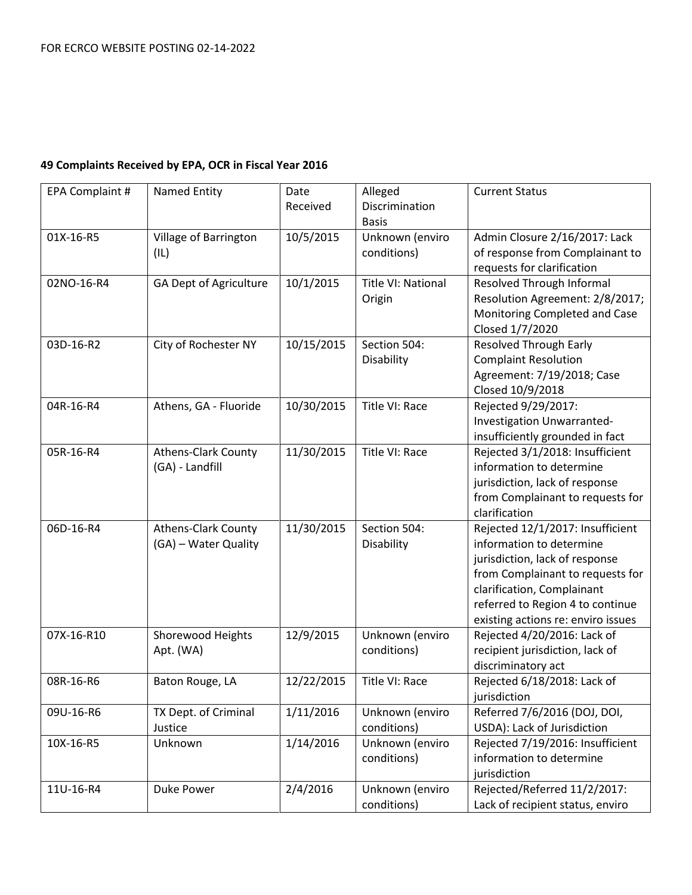| EPA Complaint # | <b>Named Entity</b>           | Date       | Alleged            | <b>Current Status</b>              |
|-----------------|-------------------------------|------------|--------------------|------------------------------------|
|                 |                               | Received   | Discrimination     |                                    |
|                 |                               |            | <b>Basis</b>       |                                    |
| 01X-16-R5       | Village of Barrington         | 10/5/2015  | Unknown (enviro    | Admin Closure 2/16/2017: Lack      |
|                 | (IL)                          |            | conditions)        | of response from Complainant to    |
|                 |                               |            |                    | requests for clarification         |
| 02NO-16-R4      | <b>GA Dept of Agriculture</b> | 10/1/2015  | Title VI: National | <b>Resolved Through Informal</b>   |
|                 |                               |            | Origin             | Resolution Agreement: 2/8/2017;    |
|                 |                               |            |                    | Monitoring Completed and Case      |
|                 |                               |            |                    | Closed 1/7/2020                    |
| 03D-16-R2       | City of Rochester NY          | 10/15/2015 | Section 504:       | <b>Resolved Through Early</b>      |
|                 |                               |            | Disability         | <b>Complaint Resolution</b>        |
|                 |                               |            |                    | Agreement: 7/19/2018; Case         |
|                 |                               |            |                    | Closed 10/9/2018                   |
| 04R-16-R4       | Athens, GA - Fluoride         | 10/30/2015 | Title VI: Race     | Rejected 9/29/2017:                |
|                 |                               |            |                    | Investigation Unwarranted-         |
|                 |                               |            |                    | insufficiently grounded in fact    |
| 05R-16-R4       | <b>Athens-Clark County</b>    | 11/30/2015 | Title VI: Race     | Rejected 3/1/2018: Insufficient    |
|                 | (GA) - Landfill               |            |                    | information to determine           |
|                 |                               |            |                    | jurisdiction, lack of response     |
|                 |                               |            |                    | from Complainant to requests for   |
|                 |                               |            |                    | clarification                      |
| 06D-16-R4       | <b>Athens-Clark County</b>    | 11/30/2015 | Section 504:       | Rejected 12/1/2017: Insufficient   |
|                 | (GA) - Water Quality          |            | Disability         | information to determine           |
|                 |                               |            |                    | jurisdiction, lack of response     |
|                 |                               |            |                    | from Complainant to requests for   |
|                 |                               |            |                    | clarification, Complainant         |
|                 |                               |            |                    | referred to Region 4 to continue   |
|                 |                               |            |                    | existing actions re: enviro issues |
| 07X-16-R10      | Shorewood Heights             | 12/9/2015  | Unknown (enviro    | Rejected 4/20/2016: Lack of        |
|                 | Apt. (WA)                     |            | conditions)        | recipient jurisdiction, lack of    |
|                 |                               |            |                    | discriminatory act                 |
| 08R-16-R6       | Baton Rouge, LA               | 12/22/2015 | Title VI: Race     | Rejected 6/18/2018: Lack of        |
|                 |                               |            |                    | jurisdiction                       |
| 09U-16-R6       | TX Dept. of Criminal          | 1/11/2016  | Unknown (enviro    | Referred 7/6/2016 (DOJ, DOI,       |
|                 | Justice                       |            | conditions)        | USDA): Lack of Jurisdiction        |
| 10X-16-R5       | Unknown                       | 1/14/2016  | Unknown (enviro    | Rejected 7/19/2016: Insufficient   |
|                 |                               |            | conditions)        | information to determine           |
|                 |                               |            |                    | jurisdiction                       |
| 11U-16-R4       | Duke Power                    | 2/4/2016   | Unknown (enviro    | Rejected/Referred 11/2/2017:       |
|                 |                               |            | conditions)        | Lack of recipient status, enviro   |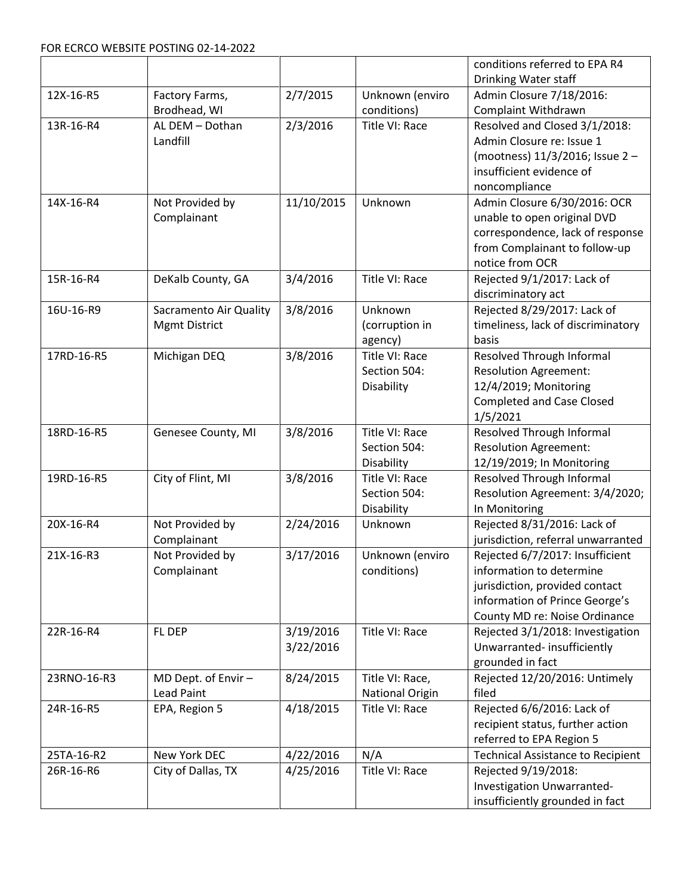|             |                                                |                        |                                              | conditions referred to EPA R4                                                                                                                                    |
|-------------|------------------------------------------------|------------------------|----------------------------------------------|------------------------------------------------------------------------------------------------------------------------------------------------------------------|
|             |                                                |                        |                                              | Drinking Water staff                                                                                                                                             |
| 12X-16-R5   | Factory Farms,                                 | 2/7/2015               | Unknown (enviro                              | Admin Closure 7/18/2016:                                                                                                                                         |
|             | Brodhead, WI                                   |                        | conditions)                                  | Complaint Withdrawn                                                                                                                                              |
| 13R-16-R4   | AL DEM - Dothan<br>Landfill                    | 2/3/2016               | Title VI: Race                               | Resolved and Closed 3/1/2018:<br>Admin Closure re: Issue 1<br>(mootness) 11/3/2016; Issue 2-                                                                     |
|             |                                                |                        |                                              | insufficient evidence of<br>noncompliance                                                                                                                        |
| 14X-16-R4   | Not Provided by<br>Complainant                 | 11/10/2015             | Unknown                                      | Admin Closure 6/30/2016: OCR<br>unable to open original DVD<br>correspondence, lack of response<br>from Complainant to follow-up<br>notice from OCR              |
| 15R-16-R4   | DeKalb County, GA                              | 3/4/2016               | Title VI: Race                               | Rejected 9/1/2017: Lack of<br>discriminatory act                                                                                                                 |
| 16U-16-R9   | Sacramento Air Quality<br><b>Mgmt District</b> | 3/8/2016               | Unknown<br>(corruption in<br>agency)         | Rejected 8/29/2017: Lack of<br>timeliness, lack of discriminatory<br>basis                                                                                       |
| 17RD-16-R5  | Michigan DEQ                                   | 3/8/2016               | Title VI: Race<br>Section 504:<br>Disability | Resolved Through Informal<br><b>Resolution Agreement:</b><br>12/4/2019; Monitoring<br><b>Completed and Case Closed</b><br>1/5/2021                               |
| 18RD-16-R5  | Genesee County, MI                             | 3/8/2016               | Title VI: Race<br>Section 504:<br>Disability | Resolved Through Informal<br><b>Resolution Agreement:</b><br>12/19/2019; In Monitoring                                                                           |
| 19RD-16-R5  | City of Flint, MI                              | 3/8/2016               | Title VI: Race<br>Section 504:<br>Disability | Resolved Through Informal<br>Resolution Agreement: 3/4/2020;<br>In Monitoring                                                                                    |
| 20X-16-R4   | Not Provided by<br>Complainant                 | 2/24/2016              | Unknown                                      | Rejected 8/31/2016: Lack of<br>jurisdiction, referral unwarranted                                                                                                |
| 21X-16-R3   | Not Provided by<br>Complainant                 | 3/17/2016              | Unknown (enviro<br>conditions)               | Rejected 6/7/2017: Insufficient<br>information to determine<br>jurisdiction, provided contact<br>information of Prince George's<br>County MD re: Noise Ordinance |
| 22R-16-R4   | FL DEP                                         | 3/19/2016<br>3/22/2016 | Title VI: Race                               | Rejected 3/1/2018: Investigation<br>Unwarranted-insufficiently<br>grounded in fact                                                                               |
| 23RNO-16-R3 | MD Dept. of Envir -<br><b>Lead Paint</b>       | 8/24/2015              | Title VI: Race,<br>National Origin           | Rejected 12/20/2016: Untimely<br>filed                                                                                                                           |
| 24R-16-R5   | EPA, Region 5                                  | 4/18/2015              | Title VI: Race                               | Rejected 6/6/2016: Lack of<br>recipient status, further action<br>referred to EPA Region 5                                                                       |
| 25TA-16-R2  | New York DEC                                   | 4/22/2016              | N/A                                          | <b>Technical Assistance to Recipient</b>                                                                                                                         |
| 26R-16-R6   | City of Dallas, TX                             | 4/25/2016              | Title VI: Race                               | Rejected 9/19/2018:<br>Investigation Unwarranted-<br>insufficiently grounded in fact                                                                             |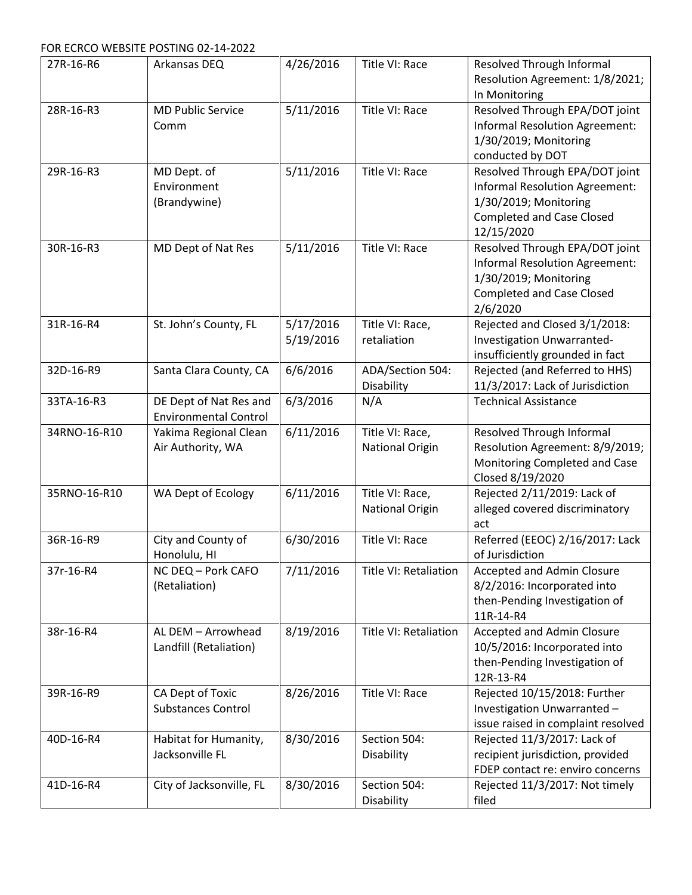FOR ECRCO WEBSITE POSTING 02-14-2022

| 27R-16-R6    | Arkansas DEQ                 | 4/26/2016 | Title VI: Race         | Resolved Through Informal                          |
|--------------|------------------------------|-----------|------------------------|----------------------------------------------------|
|              |                              |           |                        | Resolution Agreement: 1/8/2021;                    |
|              |                              |           |                        | In Monitoring                                      |
| 28R-16-R3    | <b>MD Public Service</b>     | 5/11/2016 | Title VI: Race         | Resolved Through EPA/DOT joint                     |
|              | Comm                         |           |                        | <b>Informal Resolution Agreement:</b>              |
|              |                              |           |                        | 1/30/2019; Monitoring                              |
|              |                              |           |                        | conducted by DOT                                   |
| 29R-16-R3    | MD Dept. of                  | 5/11/2016 | Title VI: Race         | Resolved Through EPA/DOT joint                     |
|              | Environment                  |           |                        | <b>Informal Resolution Agreement:</b>              |
|              | (Brandywine)                 |           |                        | 1/30/2019; Monitoring                              |
|              |                              |           |                        | <b>Completed and Case Closed</b>                   |
|              |                              |           |                        | 12/15/2020                                         |
| 30R-16-R3    | MD Dept of Nat Res           | 5/11/2016 | Title VI: Race         | Resolved Through EPA/DOT joint                     |
|              |                              |           |                        | Informal Resolution Agreement:                     |
|              |                              |           |                        | 1/30/2019; Monitoring                              |
|              |                              |           |                        | <b>Completed and Case Closed</b>                   |
|              |                              |           |                        | 2/6/2020                                           |
| 31R-16-R4    | St. John's County, FL        | 5/17/2016 | Title VI: Race,        | Rejected and Closed 3/1/2018:                      |
|              |                              | 5/19/2016 | retaliation            | Investigation Unwarranted-                         |
|              |                              |           |                        | insufficiently grounded in fact                    |
| 32D-16-R9    | Santa Clara County, CA       | 6/6/2016  | ADA/Section 504:       | Rejected (and Referred to HHS)                     |
|              |                              |           | Disability             | 11/3/2017: Lack of Jurisdiction                    |
| 33TA-16-R3   | DE Dept of Nat Res and       | 6/3/2016  | N/A                    | <b>Technical Assistance</b>                        |
|              | <b>Environmental Control</b> |           |                        |                                                    |
| 34RNO-16-R10 | Yakima Regional Clean        | 6/11/2016 | Title VI: Race,        | Resolved Through Informal                          |
|              | Air Authority, WA            |           | <b>National Origin</b> | Resolution Agreement: 8/9/2019;                    |
|              |                              |           |                        | Monitoring Completed and Case                      |
|              |                              |           |                        | Closed 8/19/2020                                   |
| 35RNO-16-R10 | WA Dept of Ecology           | 6/11/2016 | Title VI: Race,        | Rejected 2/11/2019: Lack of                        |
|              |                              |           | <b>National Origin</b> | alleged covered discriminatory                     |
|              | City and County of           |           | Title VI: Race         | act                                                |
| 36R-16-R9    | Honolulu, HI                 | 6/30/2016 |                        | Referred (EEOC) 2/16/2017: Lack<br>of Jurisdiction |
| 37r-16-R4    | NC DEQ - Pork CAFO           | 7/11/2016 | Title VI: Retaliation  | Accepted and Admin Closure                         |
|              | (Retaliation)                |           |                        | 8/2/2016: Incorporated into                        |
|              |                              |           |                        | then-Pending Investigation of                      |
|              |                              |           |                        | 11R-14-R4                                          |
| 38r-16-R4    | AL DEM - Arrowhead           | 8/19/2016 | Title VI: Retaliation  | Accepted and Admin Closure                         |
|              | Landfill (Retaliation)       |           |                        | 10/5/2016: Incorporated into                       |
|              |                              |           |                        | then-Pending Investigation of                      |
|              |                              |           |                        | 12R-13-R4                                          |
| 39R-16-R9    | CA Dept of Toxic             | 8/26/2016 | Title VI: Race         | Rejected 10/15/2018: Further                       |
|              | <b>Substances Control</b>    |           |                        | Investigation Unwarranted-                         |
|              |                              |           |                        | issue raised in complaint resolved                 |
| 40D-16-R4    | Habitat for Humanity,        | 8/30/2016 | Section 504:           | Rejected 11/3/2017: Lack of                        |
|              | Jacksonville FL              |           | Disability             | recipient jurisdiction, provided                   |
|              |                              |           |                        | FDEP contact re: enviro concerns                   |
| 41D-16-R4    | City of Jacksonville, FL     | 8/30/2016 | Section 504:           | Rejected 11/3/2017: Not timely                     |
|              |                              |           | Disability             | filed                                              |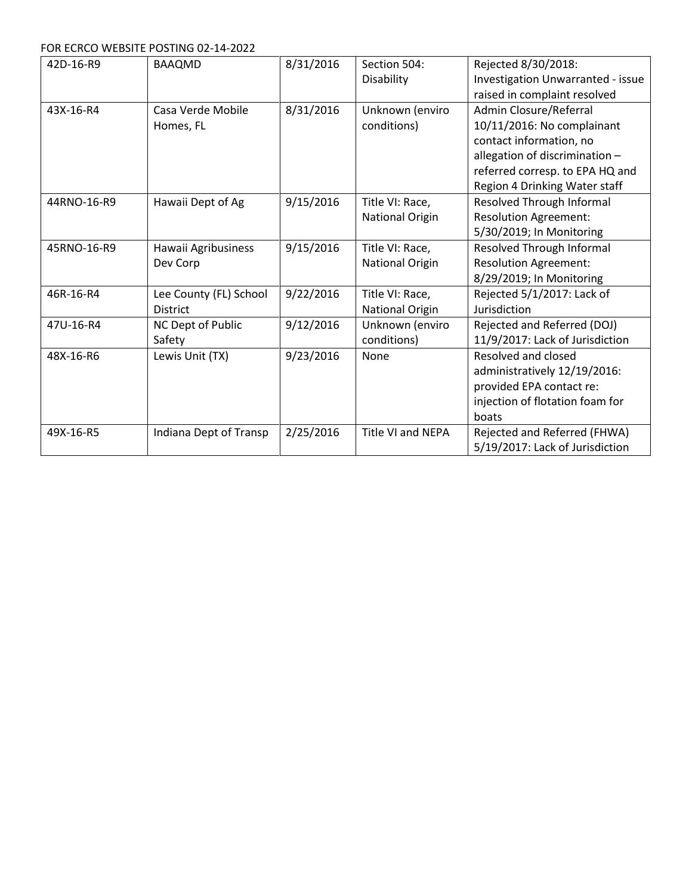FOR ECRCO WEBSITE POSTING 02-14-2022

| 42D-16-R9   | <b>BAAQMD</b>          | 8/31/2016 | Section 504:             | Rejected 8/30/2018:                      |
|-------------|------------------------|-----------|--------------------------|------------------------------------------|
|             |                        |           | Disability               | <b>Investigation Unwarranted - issue</b> |
|             |                        |           |                          | raised in complaint resolved             |
| 43X-16-R4   | Casa Verde Mobile      | 8/31/2016 | Unknown (enviro          | Admin Closure/Referral                   |
|             | Homes, FL              |           | conditions)              | 10/11/2016: No complainant               |
|             |                        |           |                          | contact information, no                  |
|             |                        |           |                          | allegation of discrimination -           |
|             |                        |           |                          | referred corresp. to EPA HQ and          |
|             |                        |           |                          | Region 4 Drinking Water staff            |
| 44RNO-16-R9 | Hawaii Dept of Ag      | 9/15/2016 | Title VI: Race,          | Resolved Through Informal                |
|             |                        |           | <b>National Origin</b>   | <b>Resolution Agreement:</b>             |
|             |                        |           |                          | 5/30/2019; In Monitoring                 |
| 45RNO-16-R9 | Hawaii Agribusiness    | 9/15/2016 | Title VI: Race,          | Resolved Through Informal                |
|             | Dev Corp               |           | <b>National Origin</b>   | <b>Resolution Agreement:</b>             |
|             |                        |           |                          | 8/29/2019; In Monitoring                 |
| 46R-16-R4   | Lee County (FL) School | 9/22/2016 | Title VI: Race,          | Rejected 5/1/2017: Lack of               |
|             | <b>District</b>        |           | National Origin          | Jurisdiction                             |
| 47U-16-R4   | NC Dept of Public      | 9/12/2016 | Unknown (enviro          | Rejected and Referred (DOJ)              |
|             | Safety                 |           | conditions)              | 11/9/2017: Lack of Jurisdiction          |
| 48X-16-R6   | Lewis Unit (TX)        | 9/23/2016 | None                     | Resolved and closed                      |
|             |                        |           |                          | administratively 12/19/2016:             |
|             |                        |           |                          | provided EPA contact re:                 |
|             |                        |           |                          | injection of flotation foam for          |
|             |                        |           |                          | boats                                    |
| 49X-16-R5   | Indiana Dept of Transp | 2/25/2016 | <b>Title VI and NEPA</b> | Rejected and Referred (FHWA)             |
|             |                        |           |                          | 5/19/2017: Lack of Jurisdiction          |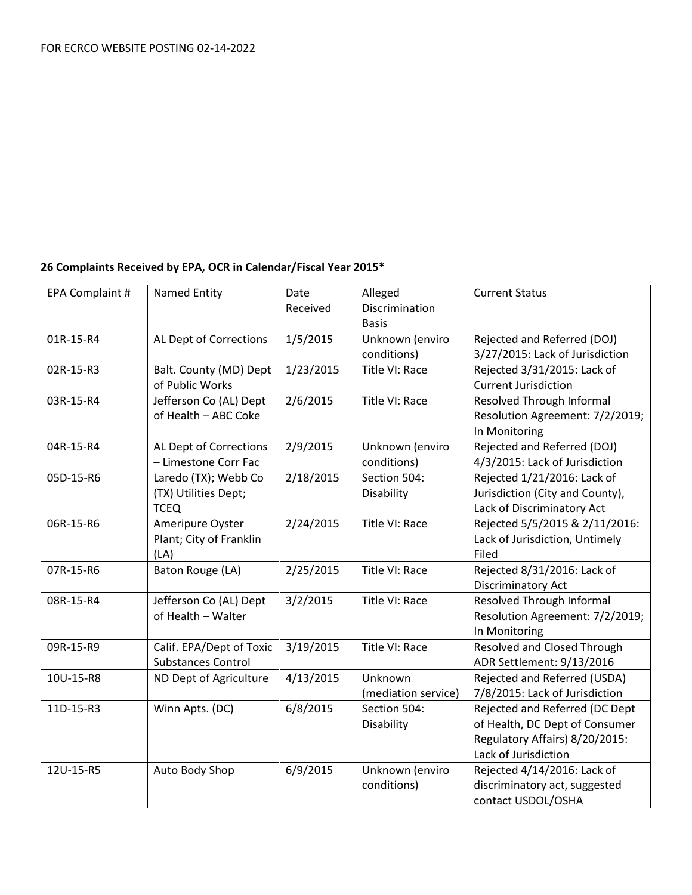### **26 Complaints Received by EPA, OCR in Calendar/Fiscal Year 2015\***

| EPA Complaint # | <b>Named Entity</b>                                   | Date<br>Received | Alleged<br>Discrimination | <b>Current Status</b>                                     |
|-----------------|-------------------------------------------------------|------------------|---------------------------|-----------------------------------------------------------|
|                 |                                                       |                  | <b>Basis</b>              |                                                           |
| 01R-15-R4       | AL Dept of Corrections                                | 1/5/2015         | Unknown (enviro           | Rejected and Referred (DOJ)                               |
|                 |                                                       |                  | conditions)               | 3/27/2015: Lack of Jurisdiction                           |
| 02R-15-R3       | Balt. County (MD) Dept                                | 1/23/2015        | Title VI: Race            | Rejected 3/31/2015: Lack of                               |
|                 | of Public Works                                       |                  |                           | <b>Current Jurisdiction</b>                               |
| 03R-15-R4       | Jefferson Co (AL) Dept                                | 2/6/2015         | Title VI: Race            | <b>Resolved Through Informal</b>                          |
|                 | of Health - ABC Coke                                  |                  |                           | Resolution Agreement: 7/2/2019;<br>In Monitoring          |
| 04R-15-R4       | AL Dept of Corrections                                | 2/9/2015         | Unknown (enviro           | Rejected and Referred (DOJ)                               |
|                 | - Limestone Corr Fac                                  |                  | conditions)               | 4/3/2015: Lack of Jurisdiction                            |
| 05D-15-R6       | Laredo (TX); Webb Co                                  | 2/18/2015        | Section 504:              | Rejected 1/21/2016: Lack of                               |
|                 | (TX) Utilities Dept;                                  |                  | Disability                | Jurisdiction (City and County),                           |
|                 | <b>TCEQ</b>                                           |                  |                           | Lack of Discriminatory Act                                |
| 06R-15-R6       | Ameripure Oyster                                      | 2/24/2015        | Title VI: Race            | Rejected 5/5/2015 & 2/11/2016:                            |
|                 | Plant; City of Franklin                               |                  |                           | Lack of Jurisdiction, Untimely                            |
|                 | (LA)                                                  |                  |                           | Filed                                                     |
| 07R-15-R6       | Baton Rouge (LA)                                      | 2/25/2015        | Title VI: Race            | Rejected 8/31/2016: Lack of                               |
|                 |                                                       |                  |                           | Discriminatory Act                                        |
| 08R-15-R4       | Jefferson Co (AL) Dept                                | 3/2/2015         | Title VI: Race            | Resolved Through Informal                                 |
|                 | of Health - Walter                                    |                  |                           | Resolution Agreement: 7/2/2019;                           |
|                 |                                                       |                  |                           | In Monitoring                                             |
| 09R-15-R9       | Calif. EPA/Dept of Toxic<br><b>Substances Control</b> | 3/19/2015        | Title VI: Race            | Resolved and Closed Through                               |
| 10U-15-R8       | ND Dept of Agriculture                                | 4/13/2015        | Unknown                   | ADR Settlement: 9/13/2016<br>Rejected and Referred (USDA) |
|                 |                                                       |                  | (mediation service)       | 7/8/2015: Lack of Jurisdiction                            |
| 11D-15-R3       | Winn Apts. (DC)                                       | 6/8/2015         | Section 504:              | Rejected and Referred (DC Dept                            |
|                 |                                                       |                  | Disability                | of Health, DC Dept of Consumer                            |
|                 |                                                       |                  |                           | Regulatory Affairs) 8/20/2015:                            |
|                 |                                                       |                  |                           | Lack of Jurisdiction                                      |
| 12U-15-R5       | Auto Body Shop                                        | 6/9/2015         | Unknown (enviro           | Rejected 4/14/2016: Lack of                               |
|                 |                                                       |                  | conditions)               | discriminatory act, suggested                             |
|                 |                                                       |                  |                           | contact USDOL/OSHA                                        |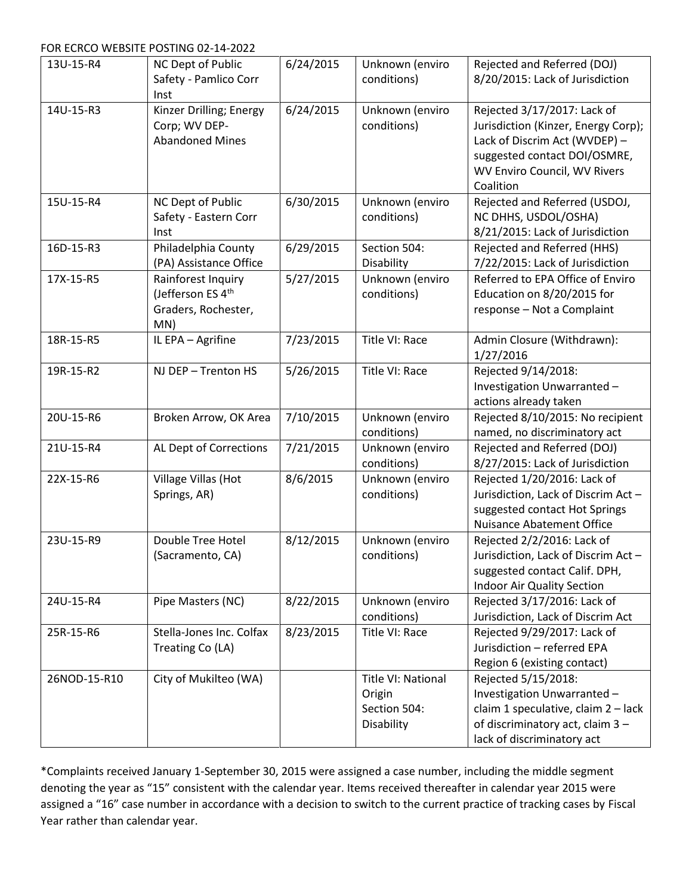FOR ECRCO WEBSITE POSTING 02-14-2022

| 13U-15-R4    | NC Dept of Public                                                     | 6/24/2015 | Unknown (enviro                                            | Rejected and Referred (DOJ)                                                                                                                                         |
|--------------|-----------------------------------------------------------------------|-----------|------------------------------------------------------------|---------------------------------------------------------------------------------------------------------------------------------------------------------------------|
|              | Safety - Pamlico Corr<br>Inst                                         |           | conditions)                                                | 8/20/2015: Lack of Jurisdiction                                                                                                                                     |
| 14U-15-R3    | Kinzer Drilling; Energy<br>Corp; WV DEP-<br><b>Abandoned Mines</b>    | 6/24/2015 | Unknown (enviro<br>conditions)                             | Rejected 3/17/2017: Lack of<br>Jurisdiction (Kinzer, Energy Corp);<br>Lack of Discrim Act (WVDEP) -<br>suggested contact DOI/OSMRE,<br>WV Enviro Council, WV Rivers |
| 15U-15-R4    | NC Dept of Public                                                     | 6/30/2015 | Unknown (enviro                                            | Coalition<br>Rejected and Referred (USDOJ,                                                                                                                          |
|              | Safety - Eastern Corr<br>Inst                                         |           | conditions)                                                | NC DHHS, USDOL/OSHA)<br>8/21/2015: Lack of Jurisdiction                                                                                                             |
| 16D-15-R3    | Philadelphia County<br>(PA) Assistance Office                         | 6/29/2015 | Section 504:<br>Disability                                 | Rejected and Referred (HHS)<br>7/22/2015: Lack of Jurisdiction                                                                                                      |
| 17X-15-R5    | Rainforest Inquiry<br>(Jefferson ES 4th<br>Graders, Rochester,<br>MN) | 5/27/2015 | Unknown (enviro<br>conditions)                             | Referred to EPA Office of Enviro<br>Education on 8/20/2015 for<br>response - Not a Complaint                                                                        |
| 18R-15-R5    | IL EPA - Agrifine                                                     | 7/23/2015 | Title VI: Race                                             | Admin Closure (Withdrawn):<br>1/27/2016                                                                                                                             |
| 19R-15-R2    | NJ DEP - Trenton HS                                                   | 5/26/2015 | Title VI: Race                                             | Rejected 9/14/2018:<br>Investigation Unwarranted-<br>actions already taken                                                                                          |
| 20U-15-R6    | Broken Arrow, OK Area                                                 | 7/10/2015 | Unknown (enviro<br>conditions)                             | Rejected 8/10/2015: No recipient<br>named, no discriminatory act                                                                                                    |
| 21U-15-R4    | AL Dept of Corrections                                                | 7/21/2015 | Unknown (enviro<br>conditions)                             | Rejected and Referred (DOJ)<br>8/27/2015: Lack of Jurisdiction                                                                                                      |
| 22X-15-R6    | Village Villas (Hot<br>Springs, AR)                                   | 8/6/2015  | Unknown (enviro<br>conditions)                             | Rejected 1/20/2016: Lack of<br>Jurisdiction, Lack of Discrim Act -<br>suggested contact Hot Springs<br><b>Nuisance Abatement Office</b>                             |
| 23U-15-R9    | Double Tree Hotel<br>(Sacramento, CA)                                 | 8/12/2015 | Unknown (enviro<br>conditions)                             | Rejected 2/2/2016: Lack of<br>Jurisdiction, Lack of Discrim Act -<br>suggested contact Calif. DPH,<br>Indoor Air Quality Section                                    |
| 24U-15-R4    | Pipe Masters (NC)                                                     | 8/22/2015 | Unknown (enviro<br>conditions)                             | Rejected 3/17/2016: Lack of<br>Jurisdiction, Lack of Discrim Act                                                                                                    |
| 25R-15-R6    | Stella-Jones Inc. Colfax<br>Treating Co (LA)                          | 8/23/2015 | Title VI: Race                                             | Rejected 9/29/2017: Lack of<br>Jurisdiction - referred EPA<br>Region 6 (existing contact)                                                                           |
| 26NOD-15-R10 | City of Mukilteo (WA)                                                 |           | Title VI: National<br>Origin<br>Section 504:<br>Disability | Rejected 5/15/2018:<br>Investigation Unwarranted-<br>claim 1 speculative, claim 2 - lack<br>of discriminatory act, claim 3 -<br>lack of discriminatory act          |

\*Complaints received January 1-September 30, 2015 were assigned a case number, including the middle segment denoting the year as "15" consistent with the calendar year. Items received thereafter in calendar year 2015 were assigned a "16" case number in accordance with a decision to switch to the current practice of tracking cases by Fiscal Year rather than calendar year.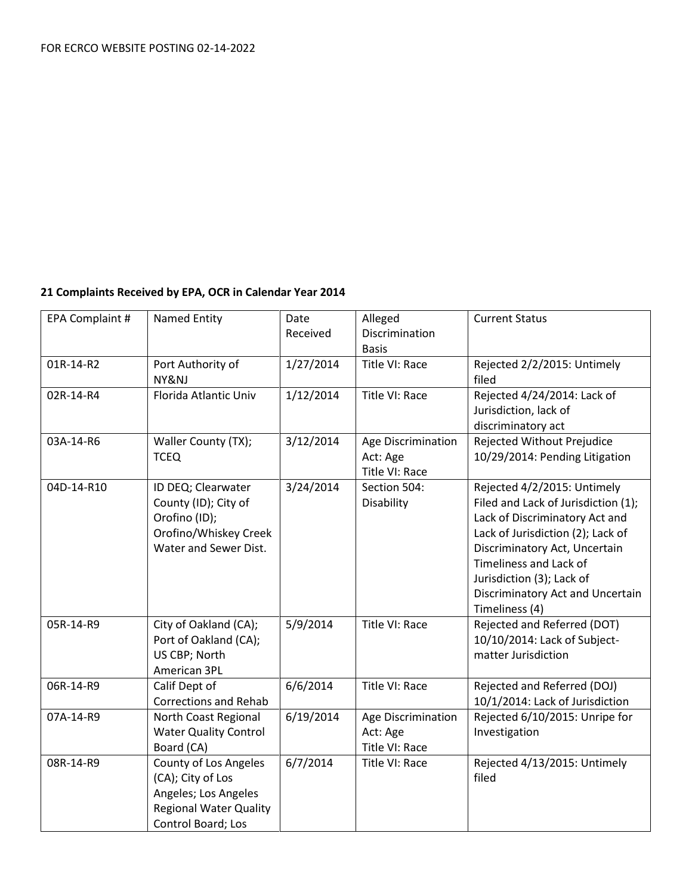### **21 Complaints Received by EPA, OCR in Calendar Year 2014**

| EPA Complaint # | Named Entity                                                                                                              | Date<br>Received | Alleged<br>Discrimination<br><b>Basis</b>        | <b>Current Status</b>                                                                                                                                                                                                                                                                   |
|-----------------|---------------------------------------------------------------------------------------------------------------------------|------------------|--------------------------------------------------|-----------------------------------------------------------------------------------------------------------------------------------------------------------------------------------------------------------------------------------------------------------------------------------------|
| 01R-14-R2       | Port Authority of<br>NY&NJ                                                                                                | 1/27/2014        | Title VI: Race                                   | Rejected 2/2/2015: Untimely<br>filed                                                                                                                                                                                                                                                    |
| 02R-14-R4       | Florida Atlantic Univ                                                                                                     | 1/12/2014        | Title VI: Race                                   | Rejected 4/24/2014: Lack of<br>Jurisdiction, lack of<br>discriminatory act                                                                                                                                                                                                              |
| 03A-14-R6       | Waller County (TX);<br><b>TCEQ</b>                                                                                        | 3/12/2014        | Age Discrimination<br>Act: Age<br>Title VI: Race | Rejected Without Prejudice<br>10/29/2014: Pending Litigation                                                                                                                                                                                                                            |
| 04D-14-R10      | ID DEQ; Clearwater<br>County (ID); City of<br>Orofino (ID);<br>Orofino/Whiskey Creek<br>Water and Sewer Dist.             | 3/24/2014        | Section 504:<br>Disability                       | Rejected 4/2/2015: Untimely<br>Filed and Lack of Jurisdiction (1);<br>Lack of Discriminatory Act and<br>Lack of Jurisdiction (2); Lack of<br>Discriminatory Act, Uncertain<br>Timeliness and Lack of<br>Jurisdiction (3); Lack of<br>Discriminatory Act and Uncertain<br>Timeliness (4) |
| 05R-14-R9       | City of Oakland (CA);<br>Port of Oakland (CA);<br>US CBP; North<br>American 3PL                                           | 5/9/2014         | Title VI: Race                                   | Rejected and Referred (DOT)<br>10/10/2014: Lack of Subject-<br>matter Jurisdiction                                                                                                                                                                                                      |
| 06R-14-R9       | Calif Dept of<br><b>Corrections and Rehab</b>                                                                             | 6/6/2014         | Title VI: Race                                   | Rejected and Referred (DOJ)<br>10/1/2014: Lack of Jurisdiction                                                                                                                                                                                                                          |
| 07A-14-R9       | North Coast Regional<br><b>Water Quality Control</b><br>Board (CA)                                                        | 6/19/2014        | Age Discrimination<br>Act: Age<br>Title VI: Race | Rejected 6/10/2015: Unripe for<br>Investigation                                                                                                                                                                                                                                         |
| 08R-14-R9       | County of Los Angeles<br>(CA); City of Los<br>Angeles; Los Angeles<br><b>Regional Water Quality</b><br>Control Board; Los | 6/7/2014         | Title VI: Race                                   | Rejected 4/13/2015: Untimely<br>filed                                                                                                                                                                                                                                                   |